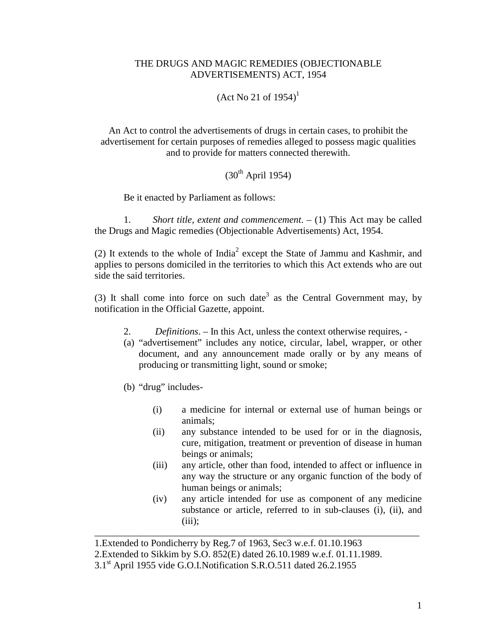## THE DRUGS AND MAGIC REMEDIES (OBJECTIONABLE ADVERTISEMENTS) ACT, 1954

 $(Act No 21 of 1954)^1$ 

An Act to control the advertisements of drugs in certain cases, to prohibit the advertisement for certain purposes of remedies alleged to possess magic qualities and to provide for matters connected therewith.

## $(30<sup>th</sup>$  April 1954)

Be it enacted by Parliament as follows:

1. *Short title, extent and commencement*. – (1) This Act may be called the Drugs and Magic remedies (Objectionable Advertisements) Act, 1954.

(2) It extends to the whole of  $India<sup>2</sup>$  except the State of Jammu and Kashmir, and applies to persons domiciled in the territories to which this Act extends who are out side the said territories.

(3) It shall come into force on such date<sup>3</sup> as the Central Government may, by notification in the Official Gazette, appoint.

- 2. *Definitions*. In this Act, unless the context otherwise requires, -
- (a) "advertisement" includes any notice, circular, label, wrapper, or other document, and any announcement made orally or by any means of producing or transmitting light, sound or smoke;
- (b) "drug" includes-
	- (i) a medicine for internal or external use of human beings or animals;
	- (ii) any substance intended to be used for or in the diagnosis, cure, mitigation, treatment or prevention of disease in human beings or animals;
	- (iii) any article, other than food, intended to affect or influence in any way the structure or any organic function of the body of human beings or animals;
	- (iv) any article intended for use as component of any medicine substance or article, referred to in sub-clauses (i), (ii), and  $(iii)$ :

\_\_\_\_\_\_\_\_\_\_\_\_\_\_\_\_\_\_\_\_\_\_\_\_\_\_\_\_\_\_\_\_\_\_\_\_\_\_\_\_\_\_\_\_\_\_\_\_\_\_\_\_\_\_\_\_\_\_\_\_\_\_\_\_\_\_\_

<sup>1.</sup>Extended to Pondicherry by Reg.7 of 1963, Sec3 w.e.f. 01.10.1963

<sup>2.</sup>Extended to Sikkim by S.O. 852(E) dated 26.10.1989 w.e.f. 01.11.1989.

<sup>3.1</sup>st April 1955 vide G.O.I.Notification S.R.O.511 dated 26.2.1955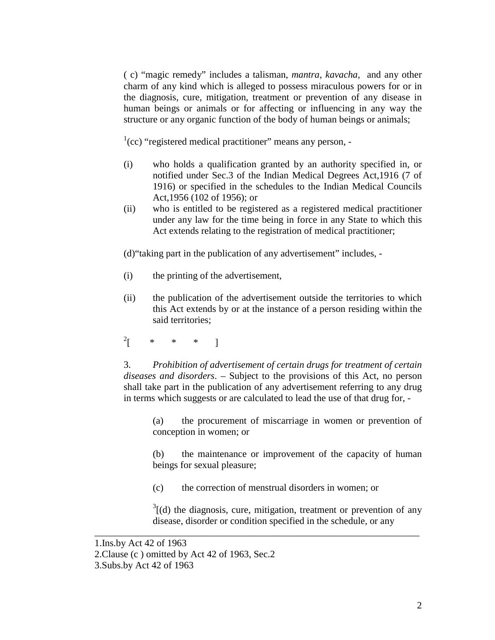( c) "magic remedy" includes a talisman, *mantra, kavacha,* and any other charm of any kind which is alleged to possess miraculous powers for or in the diagnosis, cure, mitigation, treatment or prevention of any disease in human beings or animals or for affecting or influencing in any way the structure or any organic function of the body of human beings or animals;

 $<sup>1</sup>(cc)$  "registered medical practitioner" means any person, -</sup>

- (i) who holds a qualification granted by an authority specified in, or notified under Sec.3 of the Indian Medical Degrees Act,1916 (7 of 1916) or specified in the schedules to the Indian Medical Councils Act,1956 (102 of 1956); or
- (ii) who is entitled to be registered as a registered medical practitioner under any law for the time being in force in any State to which this Act extends relating to the registration of medical practitioner;

(d)"taking part in the publication of any advertisement" includes, -

- (i) the printing of the advertisement,
- (ii) the publication of the advertisement outside the territories to which this Act extends by or at the instance of a person residing within the said territories;
- $^{2}$ [ \* \* \* ]

3. *Prohibition of advertisement of certain drugs for treatment of certain diseases and disorders*. – Subject to the provisions of this Act, no person shall take part in the publication of any advertisement referring to any drug in terms which suggests or are calculated to lead the use of that drug for, -

(a) the procurement of miscarriage in women or prevention of conception in women; or

(b) the maintenance or improvement of the capacity of human beings for sexual pleasure;

(c) the correction of menstrual disorders in women; or

\_\_\_\_\_\_\_\_\_\_\_\_\_\_\_\_\_\_\_\_\_\_\_\_\_\_\_\_\_\_\_\_\_\_\_\_\_\_\_\_\_\_\_\_\_\_\_\_\_\_\_\_\_\_\_\_\_\_\_\_\_\_\_\_\_\_\_

 $3$ [(d) the diagnosis, cure, mitigation, treatment or prevention of any disease, disorder or condition specified in the schedule, or any

<sup>1.</sup>Ins.by Act 42 of 1963 2.Clause (c ) omitted by Act 42 of 1963, Sec.2 3.Subs.by Act 42 of 1963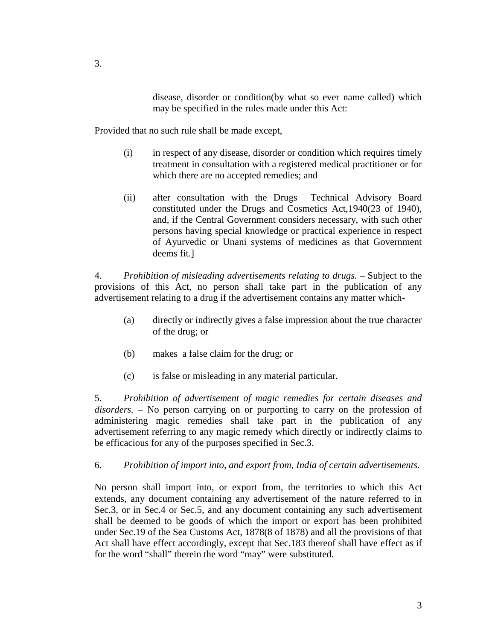disease, disorder or condition(by what so ever name called) which may be specified in the rules made under this Act:

Provided that no such rule shall be made except,

- (i) in respect of any disease, disorder or condition which requires timely treatment in consultation with a registered medical practitioner or for which there are no accepted remedies; and
- (ii) after consultation with the Drugs Technical Advisory Board constituted under the Drugs and Cosmetics Act,1940(23 of 1940), and, if the Central Government considers necessary, with such other persons having special knowledge or practical experience in respect of Ayurvedic or Unani systems of medicines as that Government deems fit.]

4. *Prohibition of misleading advertisements relating to drugs. –* Subject to the provisions of this Act, no person shall take part in the publication of any advertisement relating to a drug if the advertisement contains any matter which-

- (a) directly or indirectly gives a false impression about the true character of the drug; or
- (b) makes a false claim for the drug; or
- (c) is false or misleading in any material particular.

5. *Prohibition of advertisement of magic remedies for certain diseases and disorders.* – No person carrying on or purporting to carry on the profession of administering magic remedies shall take part in the publication of any advertisement referring to any magic remedy which directly or indirectly claims to be efficacious for any of the purposes specified in Sec.3.

6. *Prohibition of import into, and export from, India of certain advertisements.* 

No person shall import into, or export from, the territories to which this Act extends, any document containing any advertisement of the nature referred to in Sec.3, or in Sec.4 or Sec.5, and any document containing any such advertisement shall be deemed to be goods of which the import or export has been prohibited under Sec.19 of the Sea Customs Act, 1878(8 of 1878) and all the provisions of that Act shall have effect accordingly, except that Sec.183 thereof shall have effect as if for the word "shall" therein the word "may" were substituted.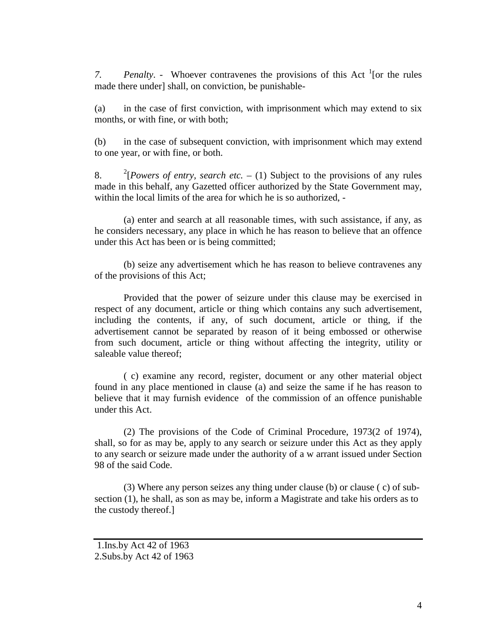7. *Penalty.* - Whoever contravenes the provisions of this Act  $\frac{1}{1}$  [or the rules made there under] shall, on conviction, be punishable-

(a) in the case of first conviction, with imprisonment which may extend to six months, or with fine, or with both;

(b) in the case of subsequent conviction, with imprisonment which may extend to one year, or with fine, or both.

 $8<sup>2</sup>$ <sup>2</sup>[*Powers of entry, search etc.* – (1) Subject to the provisions of any rules made in this behalf, any Gazetted officer authorized by the State Government may, within the local limits of the area for which he is so authorized, -

 (a) enter and search at all reasonable times, with such assistance, if any, as he considers necessary, any place in which he has reason to believe that an offence under this Act has been or is being committed;

 (b) seize any advertisement which he has reason to believe contravenes any of the provisions of this Act;

 Provided that the power of seizure under this clause may be exercised in respect of any document, article or thing which contains any such advertisement, including the contents, if any, of such document, article or thing, if the advertisement cannot be separated by reason of it being embossed or otherwise from such document, article or thing without affecting the integrity, utility or saleable value thereof;

( c) examine any record, register, document or any other material object found in any place mentioned in clause (a) and seize the same if he has reason to believe that it may furnish evidence of the commission of an offence punishable under this Act.

 (2) The provisions of the Code of Criminal Procedure, 1973(2 of 1974), shall, so for as may be, apply to any search or seizure under this Act as they apply to any search or seizure made under the authority of a w arrant issued under Section 98 of the said Code.

 (3) Where any person seizes any thing under clause (b) or clause ( c) of subsection (1), he shall, as son as may be, inform a Magistrate and take his orders as to the custody thereof.]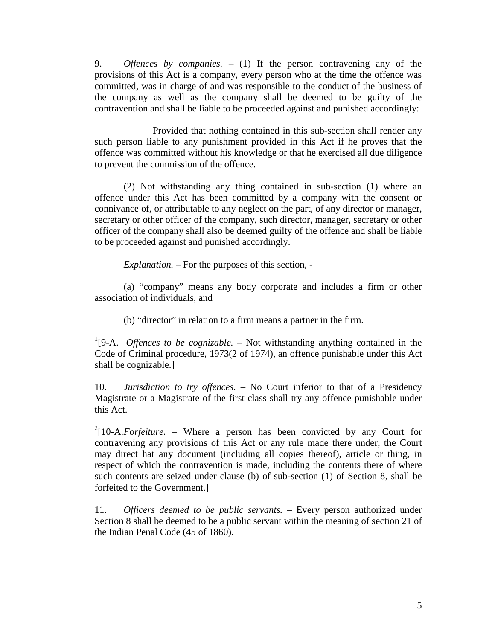9. *Offences by companies. –* (1) If the person contravening any of the provisions of this Act is a company, every person who at the time the offence was committed, was in charge of and was responsible to the conduct of the business of the company as well as the company shall be deemed to be guilty of the contravention and shall be liable to be proceeded against and punished accordingly:

 Provided that nothing contained in this sub-section shall render any such person liable to any punishment provided in this Act if he proves that the offence was committed without his knowledge or that he exercised all due diligence to prevent the commission of the offence.

 (2) Not withstanding any thing contained in sub-section (1) where an offence under this Act has been committed by a company with the consent or connivance of, or attributable to any neglect on the part, of any director or manager, secretary or other officer of the company, such director, manager, secretary or other officer of the company shall also be deemed guilty of the offence and shall be liable to be proceeded against and punished accordingly.

*Explanation. –* For the purposes of this section, -

 (a) "company" means any body corporate and includes a firm or other association of individuals, and

(b) "director" in relation to a firm means a partner in the firm.

<sup>1</sup>[9-A. *Offences to be cognizable.* – Not withstanding anything contained in the Code of Criminal procedure, 1973(2 of 1974), an offence punishable under this Act shall be cognizable.]

10. *Jurisdiction to try offences. –* No Court inferior to that of a Presidency Magistrate or a Magistrate of the first class shall try any offence punishable under this Act.

<sup>2</sup>[10-A. *Forfeiture.* – Where a person has been convicted by any Court for contravening any provisions of this Act or any rule made there under, the Court may direct hat any document (including all copies thereof), article or thing, in respect of which the contravention is made, including the contents there of where such contents are seized under clause (b) of sub-section (1) of Section 8, shall be forfeited to the Government.]

11. *Officers deemed to be public servants. –* Every person authorized under Section 8 shall be deemed to be a public servant within the meaning of section 21 of the Indian Penal Code (45 of 1860).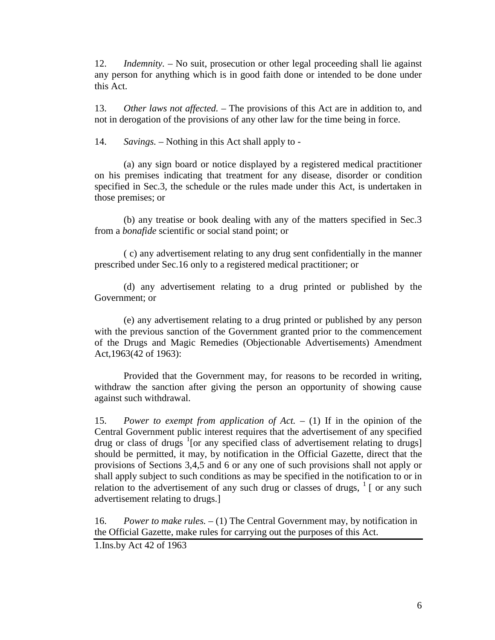12. *Indemnity. –* No suit, prosecution or other legal proceeding shall lie against any person for anything which is in good faith done or intended to be done under this Act.

13. *Other laws not affected. –* The provisions of this Act are in addition to, and not in derogation of the provisions of any other law for the time being in force.

14. *Savings. –* Nothing in this Act shall apply to -

 (a) any sign board or notice displayed by a registered medical practitioner on his premises indicating that treatment for any disease, disorder or condition specified in Sec.3, the schedule or the rules made under this Act, is undertaken in those premises; or

(b) any treatise or book dealing with any of the matters specified in Sec.3 from a *bonafide* scientific or social stand point; or

( c) any advertisement relating to any drug sent confidentially in the manner prescribed under Sec.16 only to a registered medical practitioner; or

 (d) any advertisement relating to a drug printed or published by the Government; or

 (e) any advertisement relating to a drug printed or published by any person with the previous sanction of the Government granted prior to the commencement of the Drugs and Magic Remedies (Objectionable Advertisements) Amendment Act,1963(42 of 1963):

 Provided that the Government may, for reasons to be recorded in writing, withdraw the sanction after giving the person an opportunity of showing cause against such withdrawal.

15. *Power to exempt from application of Act. –* (1) If in the opinion of the Central Government public interest requires that the advertisement of any specified drug or class of drugs  $1$ [or any specified class of advertisement relating to drugs] should be permitted, it may, by notification in the Official Gazette, direct that the provisions of Sections 3,4,5 and 6 or any one of such provisions shall not apply or shall apply subject to such conditions as may be specified in the notification to or in relation to the advertisement of any such drug or classes of drugs,  $\frac{1}{1}$  or any such advertisement relating to drugs.]

16. *Power to make rules. –* (1) The Central Government may, by notification in the Official Gazette, make rules for carrying out the purposes of this Act.

1.Ins.by Act 42 of 1963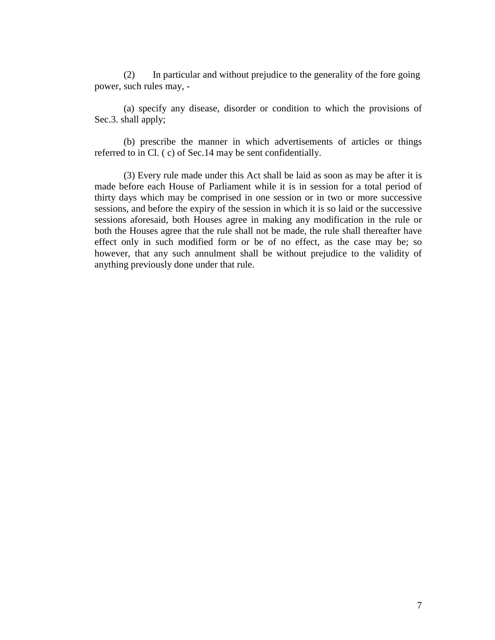(2) In particular and without prejudice to the generality of the fore going power, such rules may, -

(a) specify any disease, disorder or condition to which the provisions of Sec.3. shall apply;

 (b) prescribe the manner in which advertisements of articles or things referred to in Cl. ( c) of Sec.14 may be sent confidentially.

 (3) Every rule made under this Act shall be laid as soon as may be after it is made before each House of Parliament while it is in session for a total period of thirty days which may be comprised in one session or in two or more successive sessions, and before the expiry of the session in which it is so laid or the successive sessions aforesaid, both Houses agree in making any modification in the rule or both the Houses agree that the rule shall not be made, the rule shall thereafter have effect only in such modified form or be of no effect, as the case may be; so however, that any such annulment shall be without prejudice to the validity of anything previously done under that rule.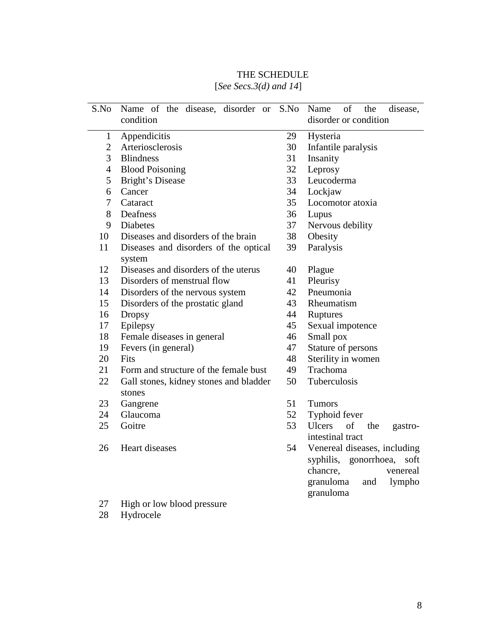| THE SCHEDULE                                     |
|--------------------------------------------------|
| $[\text{Ca}_{2a} \text{Ca}_{2a} 2(d)]$ and $1/1$ |

|  | [See Secs.3(d) and $14$ ] |  |  |  |
|--|---------------------------|--|--|--|
|--|---------------------------|--|--|--|

| S.No           | Name of the disease, disorder or                 |          | S.No Name<br>of<br>the<br>disease,    |  |
|----------------|--------------------------------------------------|----------|---------------------------------------|--|
|                | condition                                        |          | disorder or condition                 |  |
| 1              | Appendicitis                                     | 29       | Hysteria                              |  |
| $\overline{2}$ | Arteriosclerosis                                 |          | Infantile paralysis                   |  |
| 3              | <b>Blindness</b>                                 |          | Insanity                              |  |
| $\overline{4}$ | <b>Blood Poisoning</b>                           |          | Leprosy                               |  |
| 5              | Bright's Disease                                 |          | Leucoderma                            |  |
| 6              | Cancer                                           |          | Lockjaw                               |  |
| 7              | Cataract                                         |          | Locomotor atoxia                      |  |
| 8              | Deafness                                         |          | Lupus                                 |  |
| 9              | <b>Diabetes</b>                                  |          | Nervous debility                      |  |
| 10             | Diseases and disorders of the brain              |          | Obesity                               |  |
| 11             | Diseases and disorders of the optical            | 39       | Paralysis                             |  |
|                | system                                           |          |                                       |  |
| 12             | Diseases and disorders of the uterus             | 40       | Plague                                |  |
| 13             | Disorders of menstrual flow                      | 41       | Pleurisy                              |  |
| 14             | Disorders of the nervous system                  | 42<br>43 | Pneumonia                             |  |
| 15             | Disorders of the prostatic gland                 |          | Rheumatism                            |  |
| 16             | <b>Dropsy</b>                                    | 44<br>45 | Ruptures                              |  |
| 17             | Epilepsy                                         |          | Sexual impotence                      |  |
| 18             | Female diseases in general                       | 46       | Small pox                             |  |
| 19             | Fevers (in general)                              | 47<br>48 | Stature of persons                    |  |
| 20             | Fits                                             |          | Sterility in women                    |  |
| 21             | Form and structure of the female bust            | 49       | Trachoma                              |  |
| 22             | Gall stones, kidney stones and bladder<br>stones | 50       | Tuberculosis                          |  |
| 23             | Gangrene                                         | 51       | <b>Tumors</b>                         |  |
| 24             | Glaucoma                                         | 52       | Typhoid fever                         |  |
| 25             | Goitre                                           | 53       | of<br><b>Ulcers</b><br>the<br>gastro- |  |
|                |                                                  |          | intestinal tract                      |  |
| 26             | Heart diseases                                   | 54       | Venereal diseases, including          |  |
|                |                                                  |          | syphilis, gonorrhoea,<br>soft         |  |
|                |                                                  |          | chancre,<br>venereal                  |  |
|                |                                                  |          | granuloma<br>lympho<br>and            |  |
|                |                                                  |          | granuloma                             |  |
| $\sim$         | $TT'$ 1 1<br>11                                  |          |                                       |  |

- 27 High or low blood pressure
- 28 Hydrocele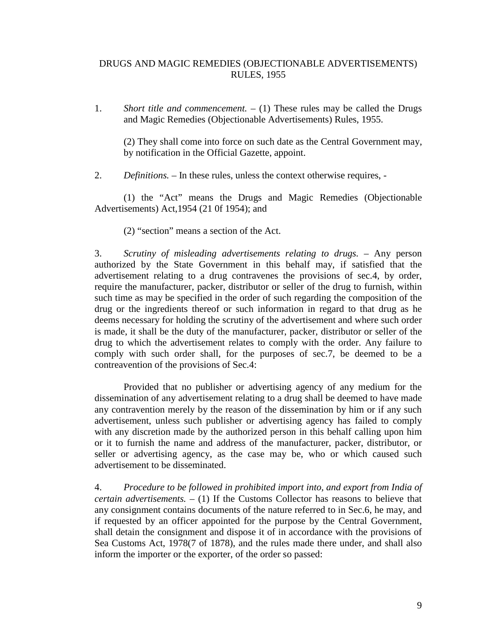## DRUGS AND MAGIC REMEDIES (OBJECTIONABLE ADVERTISEMENTS) RULES, 1955

1. *Short title and commencement. –* (1) These rules may be called the Drugs and Magic Remedies (Objectionable Advertisements) Rules, 1955.

(2) They shall come into force on such date as the Central Government may, by notification in the Official Gazette, appoint.

2. *Definitions. –* In these rules, unless the context otherwise requires, -

 (1) the "Act" means the Drugs and Magic Remedies (Objectionable Advertisements) Act,1954 (21 0f 1954); and

(2) "section" means a section of the Act.

3. *Scrutiny of misleading advertisements relating to drugs. –* Any person authorized by the State Government in this behalf may, if satisfied that the advertisement relating to a drug contravenes the provisions of sec.4, by order, require the manufacturer, packer, distributor or seller of the drug to furnish, within such time as may be specified in the order of such regarding the composition of the drug or the ingredients thereof or such information in regard to that drug as he deems necessary for holding the scrutiny of the advertisement and where such order is made, it shall be the duty of the manufacturer, packer, distributor or seller of the drug to which the advertisement relates to comply with the order. Any failure to comply with such order shall, for the purposes of sec.7, be deemed to be a contreavention of the provisions of Sec.4:

 Provided that no publisher or advertising agency of any medium for the dissemination of any advertisement relating to a drug shall be deemed to have made any contravention merely by the reason of the dissemination by him or if any such advertisement, unless such publisher or advertising agency has failed to comply with any discretion made by the authorized person in this behalf calling upon him or it to furnish the name and address of the manufacturer, packer, distributor, or seller or advertising agency, as the case may be, who or which caused such advertisement to be disseminated.

4. *Procedure to be followed in prohibited import into, and export from India of certain advertisements. –* (1) If the Customs Collector has reasons to believe that any consignment contains documents of the nature referred to in Sec.6, he may, and if requested by an officer appointed for the purpose by the Central Government, shall detain the consignment and dispose it of in accordance with the provisions of Sea Customs Act, 1978(7 of 1878), and the rules made there under, and shall also inform the importer or the exporter, of the order so passed: